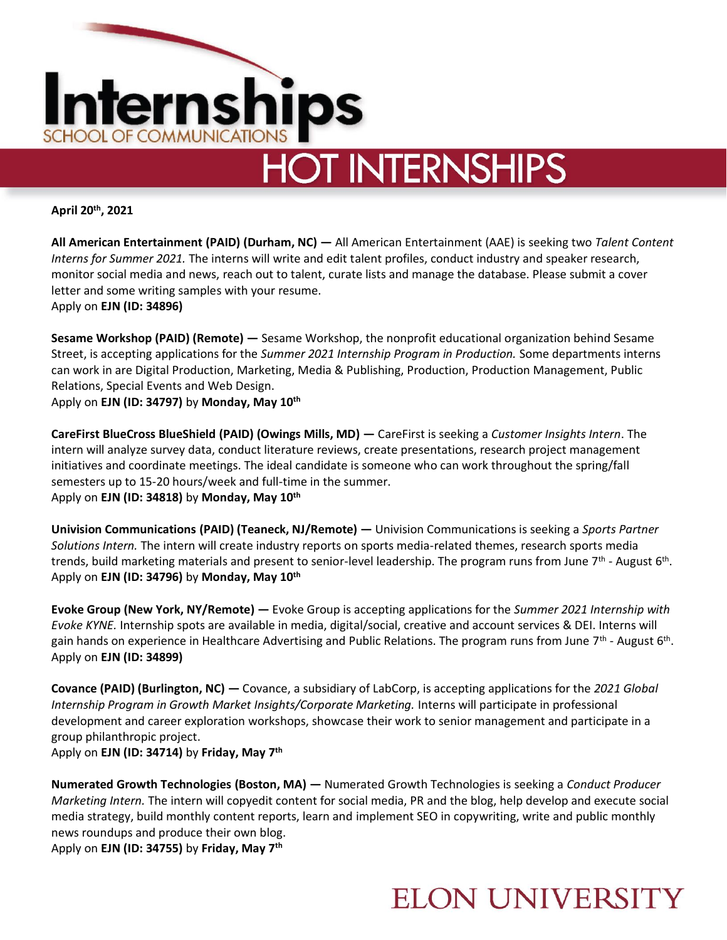

**April 20th, 2021**

**All American Entertainment (PAID) (Durham, NC) —** All American Entertainment (AAE) is seeking two *Talent Content Interns for Summer 2021.* The interns will write and edit talent profiles, conduct industry and speaker research, monitor social media and news, reach out to talent, curate lists and manage the database. Please submit a cover letter and some writing samples with your resume. Apply on **EJN (ID: 34896)** 

**Sesame Workshop (PAID) (Remote) —** Sesame Workshop, the nonprofit educational organization behind Sesame Street, is accepting applications for the *Summer 2021 Internship Program in Production.* Some departments interns can work in are Digital Production, Marketing, Media & Publishing, Production, Production Management, Public Relations, Special Events and Web Design.

Apply on **EJN (ID: 34797)** by **Monday, May 10th**

**CareFirst BlueCross BlueShield (PAID) (Owings Mills, MD) —** CareFirst is seeking a *Customer Insights Intern*. The intern will analyze survey data, conduct literature reviews, create presentations, research project management initiatives and coordinate meetings. The ideal candidate is someone who can work throughout the spring/fall semesters up to 15-20 hours/week and full-time in the summer. Apply on **EJN (ID: 34818)** by **Monday, May 10th**

**Univision Communications (PAID) (Teaneck, NJ/Remote) —** Univision Communications is seeking a *Sports Partner Solutions Intern.* The intern will create industry reports on sports media-related themes, research sports media trends, build marketing materials and present to senior-level leadership. The program runs from June 7<sup>th</sup> - August 6<sup>th</sup>. Apply on **EJN (ID: 34796)** by **Monday, May 10th**

**Evoke Group (New York, NY/Remote) —** Evoke Group is accepting applications for the *Summer 2021 Internship with Evoke KYNE.* Internship spots are available in media, digital/social, creative and account services & DEI. Interns will gain hands on experience in Healthcare Advertising and Public Relations. The program runs from June 7<sup>th</sup> - August 6<sup>th</sup>. Apply on **EJN (ID: 34899)**

**Covance (PAID) (Burlington, NC) —** Covance, a subsidiary of LabCorp, is accepting applications for the *2021 Global Internship Program in Growth Market Insights/Corporate Marketing.* Interns will participate in professional development and career exploration workshops, showcase their work to senior management and participate in a group philanthropic project.

Apply on **EJN (ID: 34714)** by **Friday, May 7th**

**Numerated Growth Technologies (Boston, MA) —** Numerated Growth Technologies is seeking a *Conduct Producer Marketing Intern.* The intern will copyedit content for social media, PR and the blog, help develop and execute social media strategy, build monthly content reports, learn and implement SEO in copywriting, write and public monthly news roundups and produce their own blog.

Apply on **EJN (ID: 34755)** by **Friday, May 7th**

### **ELON UNIVERSITY**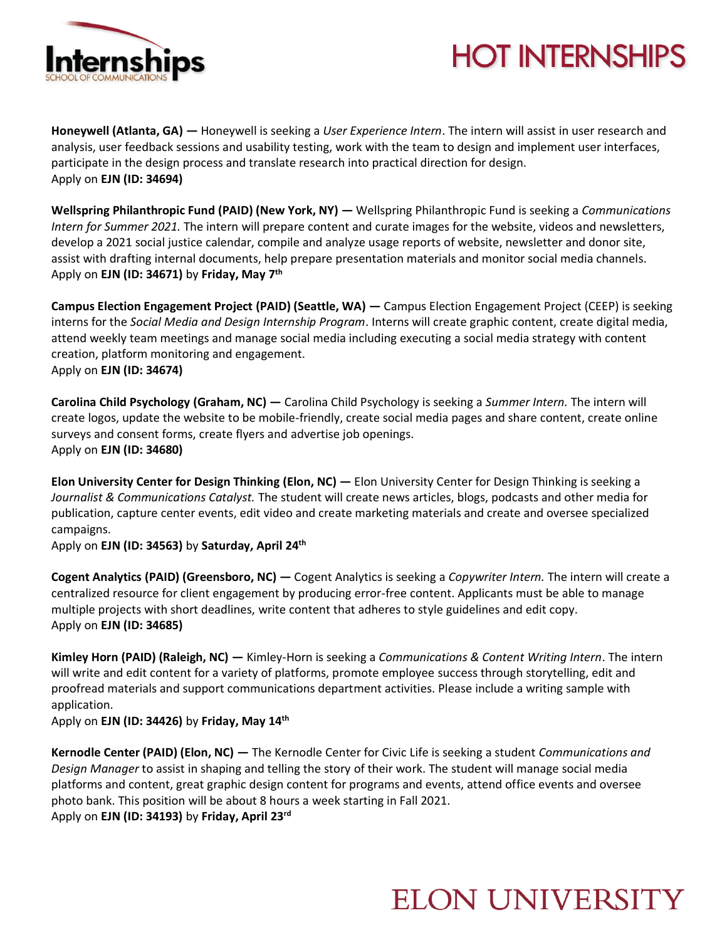

# **HOT INTERNSHIPS**

**Honeywell (Atlanta, GA) —** Honeywell is seeking a *User Experience Intern*. The intern will assist in user research and analysis, user feedback sessions and usability testing, work with the team to design and implement user interfaces, participate in the design process and translate research into practical direction for design. Apply on **EJN (ID: 34694)**

**Wellspring Philanthropic Fund (PAID) (New York, NY) —** Wellspring Philanthropic Fund is seeking a *Communications Intern for Summer 2021.* The intern will prepare content and curate images for the website, videos and newsletters, develop a 2021 social justice calendar, compile and analyze usage reports of website, newsletter and donor site, assist with drafting internal documents, help prepare presentation materials and monitor social media channels. Apply on **EJN (ID: 34671)** by **Friday, May 7th**

**Campus Election Engagement Project (PAID) (Seattle, WA) —** Campus Election Engagement Project (CEEP) is seeking interns for the *Social Media and Design Internship Program*. Interns will create graphic content, create digital media, attend weekly team meetings and manage social media including executing a social media strategy with content creation, platform monitoring and engagement. Apply on **EJN (ID: 34674)** 

**Carolina Child Psychology (Graham, NC) —** Carolina Child Psychology is seeking a *Summer Intern.* The intern will create logos, update the website to be mobile-friendly, create social media pages and share content, create online surveys and consent forms, create flyers and advertise job openings. Apply on **EJN (ID: 34680)** 

**Elon University Center for Design Thinking (Elon, NC) —** Elon University Center for Design Thinking is seeking a *Journalist & Communications Catalyst.* The student will create news articles, blogs, podcasts and other media for publication, capture center events, edit video and create marketing materials and create and oversee specialized campaigns.

Apply on **EJN (ID: 34563)** by **Saturday, April 24th**

**Cogent Analytics (PAID) (Greensboro, NC) —** Cogent Analytics is seeking a *Copywriter Intern.* The intern will create a centralized resource for client engagement by producing error-free content. Applicants must be able to manage multiple projects with short deadlines, write content that adheres to style guidelines and edit copy. Apply on **EJN (ID: 34685)** 

**Kimley Horn (PAID) (Raleigh, NC) —** Kimley-Horn is seeking a *Communications & Content Writing Intern*. The intern will write and edit content for a variety of platforms, promote employee success through storytelling, edit and proofread materials and support communications department activities. Please include a writing sample with application.

Apply on **EJN (ID: 34426)** by **Friday, May 14th**

**Kernodle Center (PAID) (Elon, NC) —** The Kernodle Center for Civic Life is seeking a student *Communications and Design Manager* to assist in shaping and telling the story of their work. The student will manage social media platforms and content, great graphic design content for programs and events, attend office events and oversee photo bank. This position will be about 8 hours a week starting in Fall 2021. Apply on **EJN (ID: 34193)** by **Friday, April 23rd**

### **ELON UNIVERSITY**